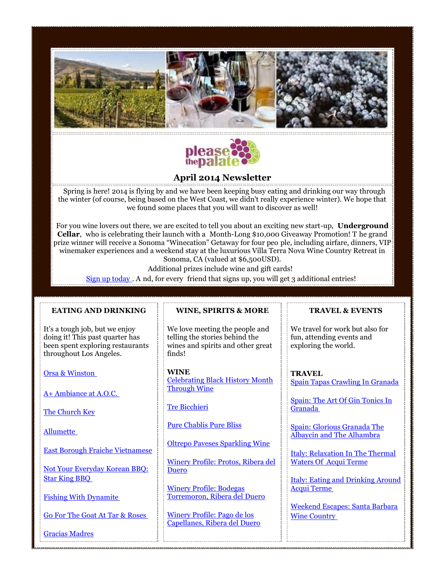



# **April 2014 Newsletter**

Spring is here! 2014 is flying by and we have been keeping busy eating and drinking our way through the winter (of course, being based on the West Coast, we didn't really experience winter). We hope that we found some places that you will want to discover as well!

For you wine lovers out there, we are excited to tell you about an exciting new start-up, **Underground Cellar**, who is celebrating their launch with a Month-Long \$10,000 Giveaway Promotion! T he grand prize winner will receive a Sonoma "Winecation" Getaway for four peo ple, including airfare, dinners, VIP winemaker experiences and a weekend stay at the luxurious Villa Terra Nova Wine Country Retreat in Sonoma, CA (valued at \$6,500USD).

Additional prizes include wine and gift cards!

[Sign up today](http://www.swiftpage4.com/SpeClicks.aspx?X=2W14NDK5IDPP7JLW000EX1) . A nd, for every friend that signs up, you will get 3 additional entries!

# **EATING AND DRINKING**

It's a tough job, but we enjoy doing it! This past quarter has been spent exploring restaurants throughout Los Angeles.

[Orsa & Winston](http://www.swiftpage4.com/SpeClicks.aspx?X=2W14NDK5IDPP7JLW010EX1)

[A+ Ambiance at A.O.C.](http://www.swiftpage4.com/SpeClicks.aspx?X=2W14NDK5IDPP7JLW020EX1)

[The Church Key](http://www.swiftpage4.com/SpeClicks.aspx?X=2W14NDK5IDPP7JLW030EX1)

[Allumette](http://www.swiftpage4.com/SpeClicks.aspx?X=2W14NDK5IDPP7JLW040EX1)

[East Borough Fraiche Vietnamese](http://www.swiftpage4.com/SpeClicks.aspx?X=2W14NDK5IDPP7JLW050EX1)

[Not Your Everyday Korean BBQ:](http://www.swiftpage4.com/SpeClicks.aspx?X=2W14NDK5IDPP7JLW060EX1)  [Star King BBQ](http://www.swiftpage4.com/SpeClicks.aspx?X=2W14NDK5IDPP7JLW060EX1)

[Fishing With Dynamite](http://www.swiftpage4.com/SpeClicks.aspx?X=2W14NDK5IDPP7JLW070EX1)

[Go For The Goat At Tar & Roses](http://www.swiftpage4.com/SpeClicks.aspx?X=2W14NDK5IDPP7JLW080EX1)

[Gracias Madres](http://www.swiftpage4.com/SpeClicks.aspx?X=2W14NDK5IDPP7JLW090EX1)

# **WINE, SPIRITS & MORE**

We love meeting the people and telling the stories behind the wines and spirits and other great finds!

**WINE** [Celebrating Black History Month](http://www.swiftpage4.com/SpeClicks.aspx?X=2W14NDK5IDPP7JLW0D0EX1)  [Through Wine](http://www.swiftpage4.com/SpeClicks.aspx?X=2W14NDK5IDPP7JLW0D0EX1)

[Tre Bicchieri](http://www.swiftpage4.com/SpeClicks.aspx?X=2W14NDK5IDPP7JLW0E0EX1)

[Pure Chablis Pure Bliss](http://www.swiftpage4.com/SpeClicks.aspx?X=2W14NDK5IDPP7JLW0F0EX1)

[Oltrepo Paveses Sparkling Wine](http://www.swiftpage4.com/SpeClicks.aspx?X=2W14NDK5IDPP7JLW0G0EX1)

[Winery Profile: Protos, Ribera del](http://www.swiftpage4.com/SpeClicks.aspx?X=2W14NDK5IDPP7JLW0H0EX1)  [Duero](http://www.swiftpage4.com/SpeClicks.aspx?X=2W14NDK5IDPP7JLW0H0EX1)

[Winery Profile: Bodegas](http://www.swiftpage4.com/SpeClicks.aspx?X=2W14NDK5IDPP7JLW0I0EX1)  [Torremoron, Ribera del Duero](http://www.swiftpage4.com/SpeClicks.aspx?X=2W14NDK5IDPP7JLW0I0EX1)

[Winery Profile: Pago de los](http://www.swiftpage4.com/SpeClicks.aspx?X=2W14NDK5IDPP7JLW0J0EX1)  [Capellanes, Ribera del Duero](http://www.swiftpage4.com/SpeClicks.aspx?X=2W14NDK5IDPP7JLW0J0EX1)

# **TRAVEL & EVENTS**

We travel for work but also for fun, attending events and exploring the world.

**TRAVEL** [Spain Tapas Crawling In Granada](http://www.swiftpage4.com/SpeClicks.aspx?X=2W14NDK5IDPP7JLW0S0EX1)

[Spain: The Art Of Gin Tonics In](http://www.swiftpage4.com/SpeClicks.aspx?X=2W14NDK5IDPP7JLW0T0EX1)  [Granada](http://www.swiftpage4.com/SpeClicks.aspx?X=2W14NDK5IDPP7JLW0T0EX1)

[Spain: Glorious Granada The](http://www.swiftpage4.com/SpeClicks.aspx?X=2W14NDK5IDPP7JLW0U0EX1)  [Albaycin and The Alhambra](http://www.swiftpage4.com/SpeClicks.aspx?X=2W14NDK5IDPP7JLW0U0EX1)

[Italy: Relaxation In The Thermal](http://www.swiftpage4.com/SpeClicks.aspx?X=2W14NDK5IDPP7JLW0V0EX1)  [Waters Of Acqui](http://www.swiftpage4.com/SpeClicks.aspx?X=2W14NDK5IDPP7JLW0V0EX1) Terme

[Italy: Eating and Drinking Around](http://www.swiftpage4.com/SpeClicks.aspx?X=2W14NDK5IDPP7JLW0W0EX1)  [Acqui Terme](http://www.swiftpage4.com/SpeClicks.aspx?X=2W14NDK5IDPP7JLW0W0EX1)

[Weekend Escapes: Santa Barbara](http://www.swiftpage4.com/SpeClicks.aspx?X=2W14NDK5IDPP7JLW0X0EX1)  [Wine Country](http://www.swiftpage4.com/SpeClicks.aspx?X=2W14NDK5IDPP7JLW0X0EX1)